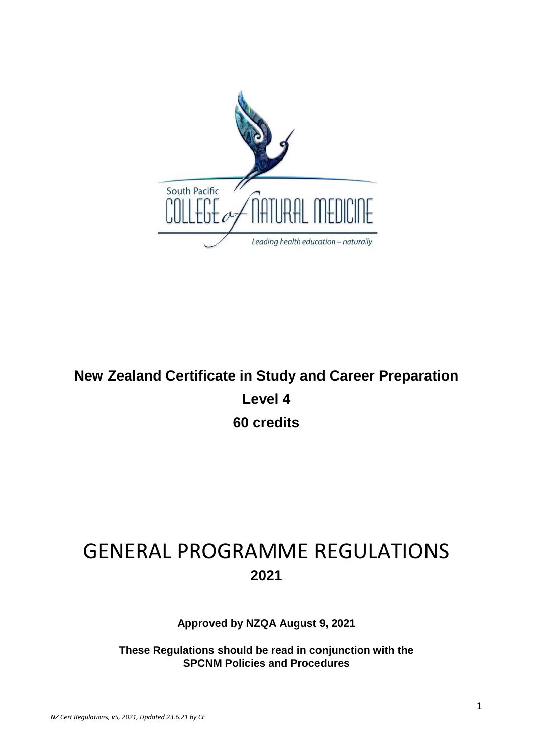

# **New Zealand Certificate in Study and Career Preparation Level 4 60 credits**

# GENERAL PROGRAMME REGULATIONS **2021**

**Approved by NZQA August 9, 2021**

**These Regulations should be read in conjunction with the SPCNM Policies and Procedures**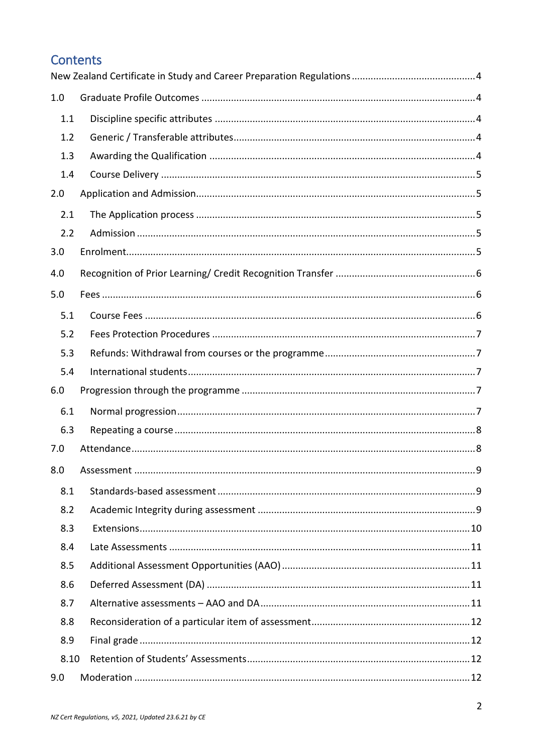# Contents

| 1.0  |  |  |
|------|--|--|
| 1.1  |  |  |
| 1.2  |  |  |
| 1.3  |  |  |
| 1.4  |  |  |
| 2.0  |  |  |
| 2.1  |  |  |
| 2.2  |  |  |
| 3.0  |  |  |
| 4.0  |  |  |
| 5.0  |  |  |
| 5.1  |  |  |
| 5.2  |  |  |
| 5.3  |  |  |
| 5.4  |  |  |
| 6.0  |  |  |
| 6.1  |  |  |
| 6.3  |  |  |
| 7.0  |  |  |
| 8.0  |  |  |
| 8.1  |  |  |
| 8.2  |  |  |
| 8.3  |  |  |
| 8.4  |  |  |
| 8.5  |  |  |
| 8.6  |  |  |
| 8.7  |  |  |
| 8.8  |  |  |
| 8.9  |  |  |
|      |  |  |
| 8.10 |  |  |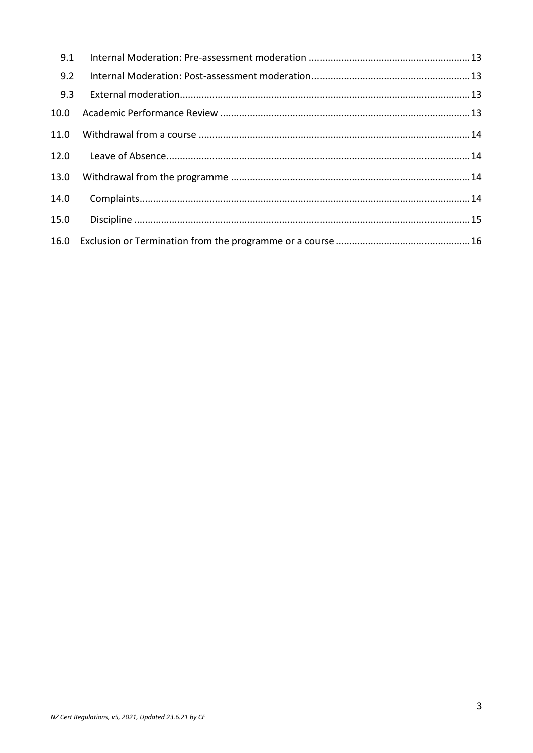| 9.1  |  |
|------|--|
| 9.2  |  |
| 9.3  |  |
| 10.0 |  |
| 11.0 |  |
| 12.0 |  |
| 13.0 |  |
| 14.0 |  |
| 15.0 |  |
|      |  |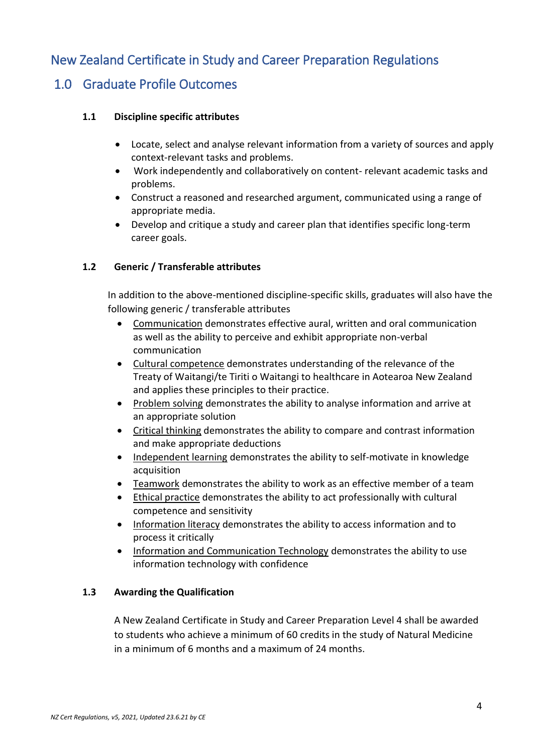# <span id="page-3-0"></span>New Zealand Certificate in Study and Career Preparation Regulations

# <span id="page-3-2"></span><span id="page-3-1"></span>1.0 Graduate Profile Outcomes

#### **1.1 Discipline specific attributes**

- Locate, select and analyse relevant information from a variety of sources and apply context-relevant tasks and problems.
- Work independently and collaboratively on content- relevant academic tasks and problems.
- Construct a reasoned and researched argument, communicated using a range of appropriate media.
- Develop and critique a study and career plan that identifies specific long-term career goals.

#### <span id="page-3-3"></span>**1.2 Generic / Transferable attributes**

In addition to the above-mentioned discipline-specific skills, graduates will also have the following generic / transferable attributes

- Communication demonstrates effective aural, written and oral communication as well as the ability to perceive and exhibit appropriate non-verbal communication
- Cultural competence demonstrates understanding of the relevance of the Treaty of Waitangi/te Tiriti o Waitangi to healthcare in Aotearoa New Zealand and applies these principles to their practice.
- Problem solving demonstrates the ability to analyse information and arrive at an appropriate solution
- Critical thinking demonstrates the ability to compare and contrast information and make appropriate deductions
- Independent learning demonstrates the ability to self-motivate in knowledge acquisition
- Teamwork demonstrates the ability to work as an effective member of a team
- Ethical practice demonstrates the ability to act professionally with cultural competence and sensitivity
- Information literacy demonstrates the ability to access information and to process it critically
- Information and Communication Technology demonstrates the ability to use information technology with confidence

#### <span id="page-3-4"></span>**1.3 Awarding the Qualification**

A New Zealand Certificate in Study and Career Preparation Level 4 shall be awarded to students who achieve a minimum of 60 credits in the study of Natural Medicine in a minimum of 6 months and a maximum of 24 months.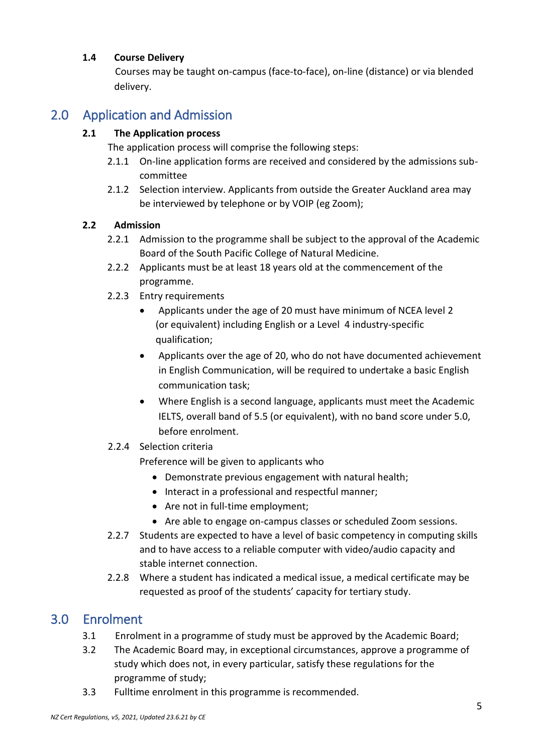#### <span id="page-4-0"></span>**1.4 Course Delivery**

Courses may be taught on-campus (face-to-face), on-line (distance) or via blended delivery.

# <span id="page-4-2"></span><span id="page-4-1"></span>2.0 Application and Admission

#### **2.1 The Application process**

The application process will comprise the following steps:

- 2.1.1 On-line application forms are received and considered by the admissions subcommittee
- 2.1.2 Selection interview. Applicants from outside the Greater Auckland area may be interviewed by telephone or by VOIP (eg Zoom);

#### <span id="page-4-3"></span>**2.2 Admission**

- 2.2.1 Admission to the programme shall be subject to the approval of the Academic Board of the South Pacific College of Natural Medicine.
- 2.2.2 Applicants must be at least 18 years old at the commencement of the programme.
- 2.2.3 Entry requirements
	- Applicants under the age of 20 must have minimum of NCEA level 2 (or equivalent) including English or a Level 4 industry-specific qualification;
	- Applicants over the age of 20, who do not have documented achievement in English Communication, will be required to undertake a basic English communication task;
	- Where English is a second language, applicants must meet the Academic IELTS, overall band of 5.5 (or equivalent), with no band score under 5.0, before enrolment.
- 2.2.4 Selection criteria

Preference will be given to applicants who

- Demonstrate previous engagement with natural health;
- Interact in a professional and respectful manner;
- Are not in full-time employment;
- Are able to engage on-campus classes or scheduled Zoom sessions.
- 2.2.7 Students are expected to have a level of basic competency in computing skills and to have access to a reliable computer with video/audio capacity and stable internet connection.
- 2.2.8 Where a student has indicated a medical issue, a medical certificate may be requested as proof of the students' capacity for tertiary study.

### <span id="page-4-4"></span>3.0 Enrolment

- 3.1 Enrolment in a programme of study must be approved by the Academic Board;
- 3.2 The Academic Board may, in exceptional circumstances, approve a programme of study which does not, in every particular, satisfy these regulations for the programme of study;
- 3.3 Fulltime enrolment in this programme is recommended.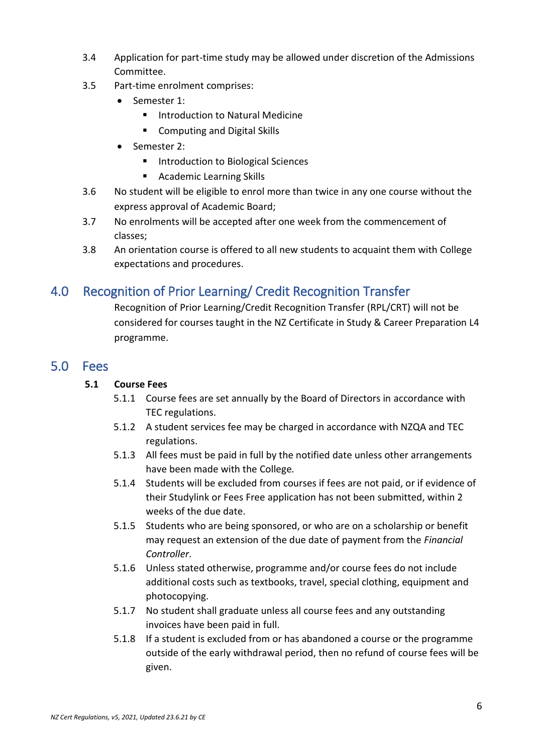- 3.4 Application for part-time study may be allowed under discretion of the Admissions Committee.
- 3.5 Part-time enrolment comprises:
	- Semester 1:
		- Introduction to Natural Medicine
		- Computing and Digital Skills
	- Semester 2:
		- Introduction to Biological Sciences
		- Academic Learning Skills
- 3.6 No student will be eligible to enrol more than twice in any one course without the express approval of Academic Board;
- 3.7 No enrolments will be accepted after one week from the commencement of classes;
- 3.8 An orientation course is offered to all new students to acquaint them with College expectations and procedures.

# <span id="page-5-0"></span>4.0 Recognition of Prior Learning/ Credit Recognition Transfer

Recognition of Prior Learning/Credit Recognition Transfer (RPL/CRT) will not be considered for courses taught in the NZ Certificate in Study & Career Preparation L4 programme.

### <span id="page-5-1"></span>5.0 Fees

#### <span id="page-5-2"></span>**5.1 Course Fees**

- 5.1.1 Course fees are set annually by the Board of Directors in accordance with TEC regulations.
- 5.1.2 A student services fee may be charged in accordance with NZQA and TEC regulations.
- 5.1.3 All fees must be paid in full by the notified date unless other arrangements have been made with the College*.*
- 5.1.4 Students will be excluded from courses if fees are not paid, or if evidence of their Studylink or Fees Free application has not been submitted, within 2 weeks of the due date.
- 5.1.5 Students who are being sponsored, or who are on a scholarship or benefit may request an extension of the due date of payment from the *Financial Controller*.
- 5.1.6 Unless stated otherwise, programme and/or course fees do not include additional costs such as textbooks, travel, special clothing, equipment and photocopying.
- 5.1.7 No student shall graduate unless all course fees and any outstanding invoices have been paid in full.
- 5.1.8 If a student is excluded from or has abandoned a course or the programme outside of the early withdrawal period, then no refund of course fees will be given.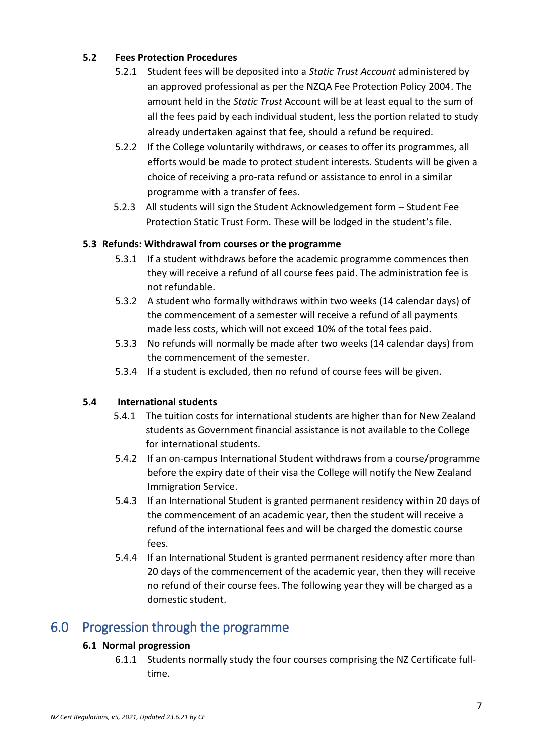#### **5.2 Fees Protection Procedures**

- <span id="page-6-0"></span>5.2.1 Student fees will be deposited into a *Static Trust Account* administered by an approved professional as per the NZQA Fee Protection Policy 2004. The amount held in the *Static Trust* Account will be at least equal to the sum of all the fees paid by each individual student, less the portion related to study already undertaken against that fee, should a refund be required.
- 5.2.2 If the College voluntarily withdraws, or ceases to offer its programmes, all efforts would be made to protect student interests. Students will be given a choice of receiving a pro-rata refund or assistance to enrol in a similar programme with a transfer of fees.
- 5.2.3 All students will sign the Student Acknowledgement form Student Fee Protection Static Trust Form. These will be lodged in the student's file.

#### <span id="page-6-1"></span>**5.3 Refunds: Withdrawal from courses or the programme**

- 5.3.1 If a student withdraws before the academic programme commences then they will receive a refund of all course fees paid. The administration fee is not refundable.
- 5.3.2 A student who formally withdraws within two weeks (14 calendar days) of the commencement of a semester will receive a refund of all payments made less costs, which will not exceed 10% of the total fees paid.
- 5.3.3 No refunds will normally be made after two weeks (14 calendar days) from the commencement of the semester.
- 5.3.4 If a student is excluded, then no refund of course fees will be given.

#### **5.4 International students**

- <span id="page-6-2"></span>5.4.1 The tuition costs for international students are higher than for New Zealand students as Government financial assistance is not available to the College for international students.
- 5.4.2 If an on-campus International Student withdraws from a course/programme before the expiry date of their visa the College will notify the New Zealand Immigration Service.
- 5.4.3 If an International Student is granted permanent residency within 20 days of the commencement of an academic year, then the student will receive a refund of the international fees and will be charged the domestic course fees.
- 5.4.4 If an International Student is granted permanent residency after more than 20 days of the commencement of the academic year, then they will receive no refund of their course fees. The following year they will be charged as a domestic student.

### <span id="page-6-4"></span><span id="page-6-3"></span>6.0 Progression through the programme

#### **6.1 Normal progression**

6.1.1 Students normally study the four courses comprising the NZ Certificate fulltime.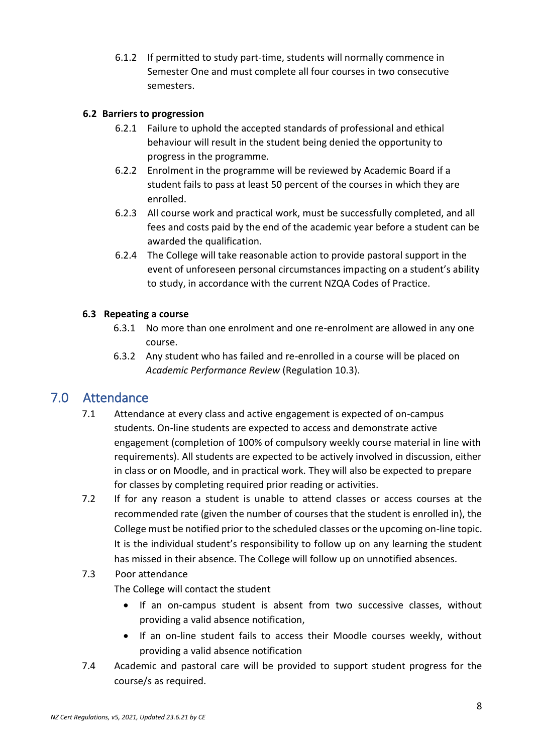6.1.2 If permitted to study part-time, students will normally commence in Semester One and must complete all four courses in two consecutive semesters.

#### **6.2 Barriers to progression**

- 6.2.1 Failure to uphold the accepted standards of professional and ethical behaviour will result in the student being denied the opportunity to progress in the programme.
- 6.2.2 Enrolment in the programme will be reviewed by Academic Board if a student fails to pass at least 50 percent of the courses in which they are enrolled.
- 6.2.3 All course work and practical work, must be successfully completed, and all fees and costs paid by the end of the academic year before a student can be awarded the qualification.
- 6.2.4 The College will take reasonable action to provide pastoral support in the event of unforeseen personal circumstances impacting on a student's ability to study, in accordance with the current NZQA Codes of Practice.

#### <span id="page-7-0"></span>**6.3 Repeating a course**

- 6.3.1 No more than one enrolment and one re-enrolment are allowed in any one course.
- 6.3.2 Any student who has failed and re-enrolled in a course will be placed on *Academic Performance Review* (Regulation 10.3).

# <span id="page-7-1"></span>7.0 Attendance

- 7.1 Attendance at every class and active engagement is expected of on-campus students. On-line students are expected to access and demonstrate active engagement (completion of 100% of compulsory weekly course material in line with requirements). All students are expected to be actively involved in discussion, either in class or on Moodle, and in practical work. They will also be expected to prepare for classes by completing required prior reading or activities.
- 7.2 If for any reason a student is unable to attend classes or access courses at the recommended rate (given the number of courses that the student is enrolled in), the College must be notified prior to the scheduled classes or the upcoming on-line topic. It is the individual student's responsibility to follow up on any learning the student has missed in their absence. The College will follow up on unnotified absences.

# 7.3 Poor attendance

The College will contact the student

- If an on-campus student is absent from two successive classes, without providing a valid absence notification,
- If an on-line student fails to access their Moodle courses weekly, without providing a valid absence notification
- 7.4 Academic and pastoral care will be provided to support student progress for the course/s as required.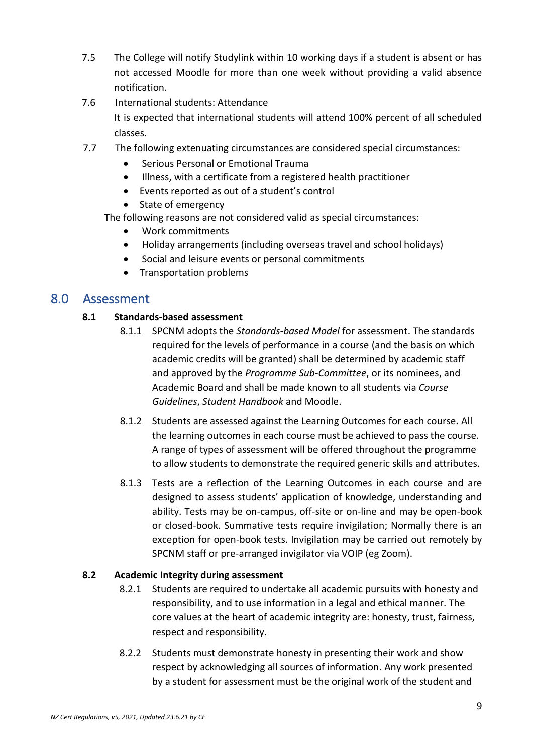- 7.5 The College will notify Studylink within 10 working days if a student is absent or has not accessed Moodle for more than one week without providing a valid absence notification.
- 7.6 International students: Attendance

It is expected that international students will attend 100% percent of all scheduled classes.

- 7.7 The following extenuating circumstances are considered special circumstances:
	- Serious Personal or Emotional Trauma
	- Illness, with a certificate from a registered health practitioner
	- Events reported as out of a student's control
	- State of emergency
	- The following reasons are not considered valid as special circumstances:
		- Work commitments
		- Holiday arrangements (including overseas travel and school holidays)
		- Social and leisure events or personal commitments
		- Transportation problems

### <span id="page-8-1"></span><span id="page-8-0"></span>8.0 Assessment

#### **8.1 Standards-based assessment**

- 8.1.1 SPCNM adopts the *Standards-based Model* for assessment. The standards required for the levels of performance in a course (and the basis on which academic credits will be granted) shall be determined by academic staff and approved by the *Programme Sub-Committee*, or its nominees, and Academic Board and shall be made known to all students via *Course Guidelines*, *Student Handbook* and Moodle.
- 8.1.2 Students are assessed against the Learning Outcomes for each course**.** All the learning outcomes in each course must be achieved to pass the course. A range of types of assessment will be offered throughout the programme to allow students to demonstrate the required generic skills and attributes.
- 8.1.3 Tests are a reflection of the Learning Outcomes in each course and are designed to assess students' application of knowledge, understanding and ability. Tests may be on-campus, off-site or on-line and may be open-book or closed-book. Summative tests require invigilation; Normally there is an exception for open-book tests. Invigilation may be carried out remotely by SPCNM staff or pre-arranged invigilator via VOIP (eg Zoom).

#### <span id="page-8-2"></span>**8.2 Academic Integrity during assessment**

- 8.2.1 Students are required to undertake all academic pursuits with honesty and responsibility, and to use information in a legal and ethical manner. The core values at the heart of academic integrity are: honesty, trust, fairness, respect and responsibility.
- 8.2.2 Students must demonstrate honesty in presenting their work and show respect by acknowledging all sources of information. Any work presented by a student for assessment must be the original work of the student and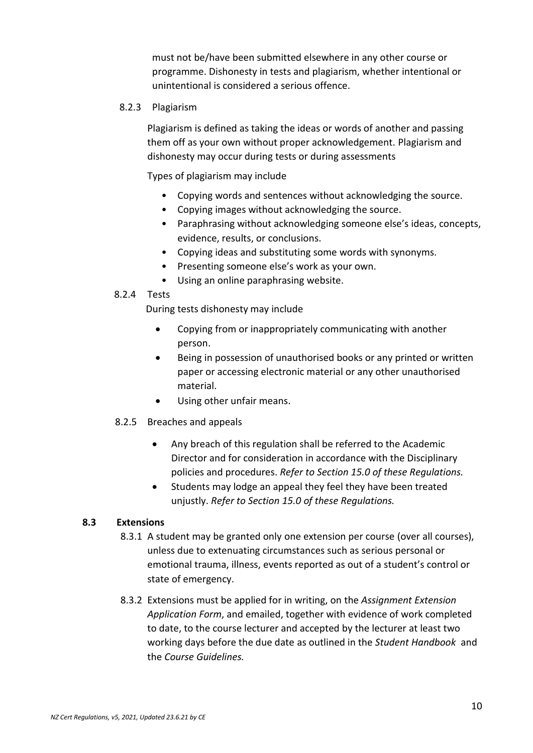must not be/have been submitted elsewhere in any other course or programme. Dishonesty in tests and plagiarism, whether intentional or unintentional is considered a serious offence.

#### 8.2.3 Plagiarism

Plagiarism is defined as taking the ideas or words of another and passing them off as your own without proper acknowledgement. Plagiarism and dishonesty may occur during tests or during assessments

Types of plagiarism may include

- Copying words and sentences without acknowledging the source.
- Copying images without acknowledging the source.
- Paraphrasing without acknowledging someone else's ideas, concepts, evidence, results, or conclusions.
- Copying ideas and substituting some words with synonyms.
- Presenting someone else's work as your own.
- Using an online paraphrasing website.

#### 8.2.4 Tests

During tests dishonesty may include

- Copying from or inappropriately communicating with another person.
- Being in possession of unauthorised books or any printed or written paper or accessing electronic material or any other unauthorised material.
- Using other unfair means.

#### 8.2.5 Breaches and appeals

- Any breach of this regulation shall be referred to the Academic Director and for consideration in accordance with the Disciplinary policies and procedures. *Refer to Section 15.0 of these Regulations.*
- Students may lodge an appeal they feel they have been treated unjustly. *Refer to Section 15.0 of these Regulations.*

#### <span id="page-9-0"></span>**8.3 Extensions**

- 8.3.1 A student may be granted only one extension per course (over all courses), unless due to extenuating circumstances such as serious personal or emotional trauma, illness, events reported as out of a student's control or state of emergency.
- 8.3.2 Extensions must be applied for in writing, on the *Assignment Extension Application Form*, and emailed, together with evidence of work completed to date, to the course lecturer and accepted by the lecturer at least two working days before the due date as outlined in the *Student Handbook* and the *Course Guidelines.*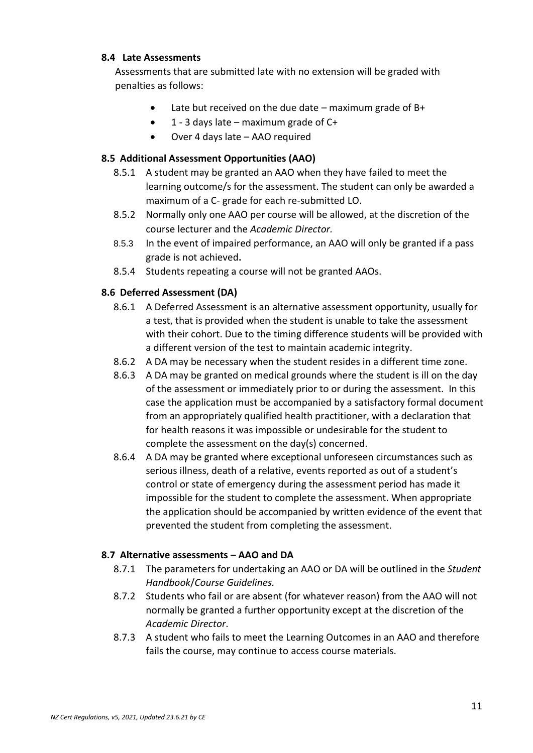#### **8.4 Late Assessments**

<span id="page-10-0"></span>Assessments that are submitted late with no extension will be graded with penalties as follows:

- Late but received on the due date maximum grade of B+
- 1 3 days late maximum grade of C+
- Over 4 days late AAO required

#### **8.5 Additional Assessment Opportunities (AAO)**

- <span id="page-10-1"></span>8.5.1 A student may be granted an AAO when they have failed to meet the learning outcome/s for the assessment. The student can only be awarded a maximum of a C- grade for each re-submitted LO.
- 8.5.2 Normally only one AAO per course will be allowed, at the discretion of the course lecturer and the *Academic Director.*
- 8.5.3 In the event of impaired performance, an AAO will only be granted if a pass grade is not achieved**.**
- 8.5.4 Students repeating a course will not be granted AAOs.

#### <span id="page-10-2"></span>**8.6 Deferred Assessment (DA)**

- 8.6.1 A Deferred Assessment is an alternative assessment opportunity, usually for a test, that is provided when the student is unable to take the assessment with their cohort. Due to the timing difference students will be provided with a different version of the test to maintain academic integrity.
- 8.6.2 A DA may be necessary when the student resides in a different time zone.
- 8.6.3 A DA may be granted on medical grounds where the student is ill on the day of the assessment or immediately prior to or during the assessment. In this case the application must be accompanied by a satisfactory formal document from an appropriately qualified health practitioner, with a declaration that for health reasons it was impossible or undesirable for the student to complete the assessment on the day(s) concerned.
- 8.6.4 A DA may be granted where exceptional unforeseen circumstances such as serious illness, death of a relative, events reported as out of a student's control or state of emergency during the assessment period has made it impossible for the student to complete the assessment. When appropriate the application should be accompanied by written evidence of the event that prevented the student from completing the assessment.

#### <span id="page-10-3"></span>**8.7 Alternative assessments – AAO and DA**

- 8.7.1 The parameters for undertaking an AAO or DA will be outlined in the *Student Handbook*/*Course Guidelines.*
- 8.7.2 Students who fail or are absent (for whatever reason) from the AAO will not normally be granted a further opportunity except at the discretion of the *Academic Director*.
- 8.7.3 A student who fails to meet the Learning Outcomes in an AAO and therefore fails the course, may continue to access course materials.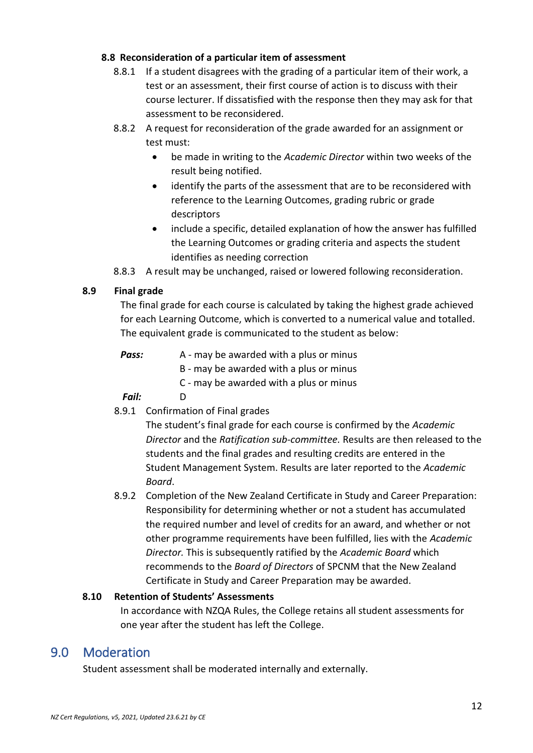#### **8.8 Reconsideration of a particular item of assessment**

- <span id="page-11-0"></span>8.8.1 If a student disagrees with the grading of a particular item of their work, a test or an assessment, their first course of action is to discuss with their course lecturer. If dissatisfied with the response then they may ask for that assessment to be reconsidered.
- 8.8.2 A request for reconsideration of the grade awarded for an assignment or test must:
	- be made in writing to the *Academic Director* within two weeks of the result being notified.
	- identify the parts of the assessment that are to be reconsidered with reference to the Learning Outcomes, grading rubric or grade descriptors
	- include a specific, detailed explanation of how the answer has fulfilled the Learning Outcomes or grading criteria and aspects the student identifies as needing correction
- 8.8.3 A result may be unchanged, raised or lowered following reconsideration.

#### <span id="page-11-1"></span>**8.9 Final grade**

The final grade for each course is calculated by taking the highest grade achieved for each Learning Outcome, which is converted to a numerical value and totalled. The equivalent grade is communicated to the student as below:

- *Pass:* A may be awarded with a plus or minus
	- B may be awarded with a plus or minus
		- C may be awarded with a plus or minus

#### *Fail:* D

8.9.1 Confirmation of Final grades

The student's final grade for each course is confirmed by the *Academic Director* and the *Ratification sub-committee.* Results are then released to the students and the final grades and resulting credits are entered in the Student Management System. Results are later reported to the *Academic Board*.

8.9.2 Completion of the New Zealand Certificate in Study and Career Preparation: Responsibility for determining whether or not a student has accumulated the required number and level of credits for an award, and whether or not other programme requirements have been fulfilled, lies with the *Academic Director.* This is subsequently ratified by the *Academic Board* which recommends to the *Board of Directors* of SPCNM that the New Zealand Certificate in Study and Career Preparation may be awarded.

#### <span id="page-11-2"></span>**8.10 Retention of Students' Assessments**

In accordance with NZQA Rules, the College retains all student assessments for one year after the student has left the College.

### <span id="page-11-3"></span>9.0 Moderation

Student assessment shall be moderated internally and externally.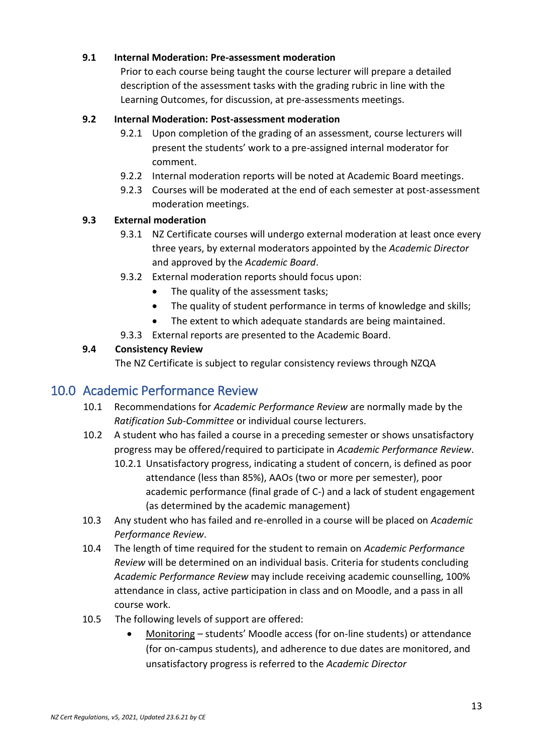#### <span id="page-12-0"></span>**9.1 Internal Moderation: Pre-assessment moderation**

Prior to each course being taught the course lecturer will prepare a detailed description of the assessment tasks with the grading rubric in line with the Learning Outcomes, for discussion, at pre-assessments meetings.

#### <span id="page-12-1"></span>**9.2 Internal Moderation: Post-assessment moderation**

- 9.2.1 Upon completion of the grading of an assessment, course lecturers will present the students' work to a pre-assigned internal moderator for comment.
- 9.2.2 Internal moderation reports will be noted at Academic Board meetings.
- 9.2.3 Courses will be moderated at the end of each semester at post-assessment moderation meetings.

#### <span id="page-12-2"></span>**9.3 External moderation**

- 9.3.1 NZ Certificate courses will undergo external moderation at least once every three years, by external moderators appointed by the *Academic Director* and approved by the *Academic Board*.
- 9.3.2 External moderation reports should focus upon:
	- The quality of the assessment tasks;
	- The quality of student performance in terms of knowledge and skills;
	- The extent to which adequate standards are being maintained.
- 9.3.3 External reports are presented to the Academic Board.

#### **9.4 Consistency Review**

The NZ Certificate is subject to regular consistency reviews through NZQA

### <span id="page-12-3"></span>10.0 Academic Performance Review

- 10.1 Recommendations for *Academic Performance Review* are normally made by the *Ratification Sub-Committee* or individual course lecturers.
- 10.2 A student who has failed a course in a preceding semester or shows unsatisfactory progress may be offered/required to participate in *Academic Performance Review*.
	- 10.2.1 Unsatisfactory progress, indicating a student of concern, is defined as poor attendance (less than 85%), AAOs (two or more per semester), poor academic performance (final grade of C-) and a lack of student engagement (as determined by the academic management)
- 10.3 Any student who has failed and re-enrolled in a course will be placed on *Academic Performance Review*.
- 10.4 The length of time required for the student to remain on *Academic Performance Review* will be determined on an individual basis. Criteria for students concluding *Academic Performance Review* may include receiving academic counselling, 100% attendance in class, active participation in class and on Moodle, and a pass in all course work.
- 10.5 The following levels of support are offered:
	- Monitoring students' Moodle access (for on-line students) or attendance (for on-campus students), and adherence to due dates are monitored, and unsatisfactory progress is referred to the *Academic Director*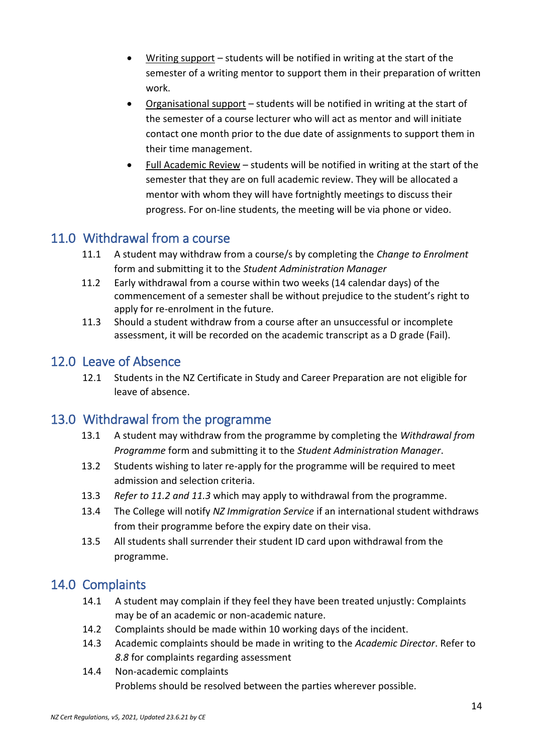- Writing support students will be notified in writing at the start of the semester of a writing mentor to support them in their preparation of written work.
- Organisational support students will be notified in writing at the start of the semester of a course lecturer who will act as mentor and will initiate contact one month prior to the due date of assignments to support them in their time management.
- Full Academic Review students will be notified in writing at the start of the semester that they are on full academic review. They will be allocated a mentor with whom they will have fortnightly meetings to discuss their progress. For on-line students, the meeting will be via phone or video.

# <span id="page-13-0"></span>11.0 Withdrawal from a course

- 11.1 A student may withdraw from a course/s by completing the *Change to Enrolment*  form and submitting it to the *Student Administration Manager*
- 11.2 Early withdrawal from a course within two weeks (14 calendar days) of the commencement of a semester shall be without prejudice to the student's right to apply for re-enrolment in the future.
- 11.3 Should a student withdraw from a course after an unsuccessful or incomplete assessment, it will be recorded on the academic transcript as a D grade (Fail).

## <span id="page-13-1"></span>12.0 Leave of Absence

12.1 Students in the NZ Certificate in Study and Career Preparation are not eligible for leave of absence.

# <span id="page-13-2"></span>13.0 Withdrawal from the programme

- 13.1 A student may withdraw from the programme by completing the *Withdrawal from Programme* form and submitting it to the *Student Administration Manager*.
- 13.2 Students wishing to later re-apply for the programme will be required to meet admission and selection criteria.
- 13.3 *Refer to 11.2 and 11.3* which may apply to withdrawal from the programme.
- 13.4 The College will notify *NZ Immigration Service* if an international student withdraws from their programme before the expiry date on their visa.
- 13.5 All students shall surrender their student ID card upon withdrawal from the programme.

# <span id="page-13-3"></span>14.0 Complaints

- 14.1 A student may complain if they feel they have been treated unjustly: Complaints may be of an academic or non-academic nature.
- 14.2 Complaints should be made within 10 working days of the incident.
- 14.3 Academic complaints should be made in writing to the *Academic Director*. Refer to *8.8* for complaints regarding assessment
- 14.4 Non-academic complaints Problems should be resolved between the parties wherever possible.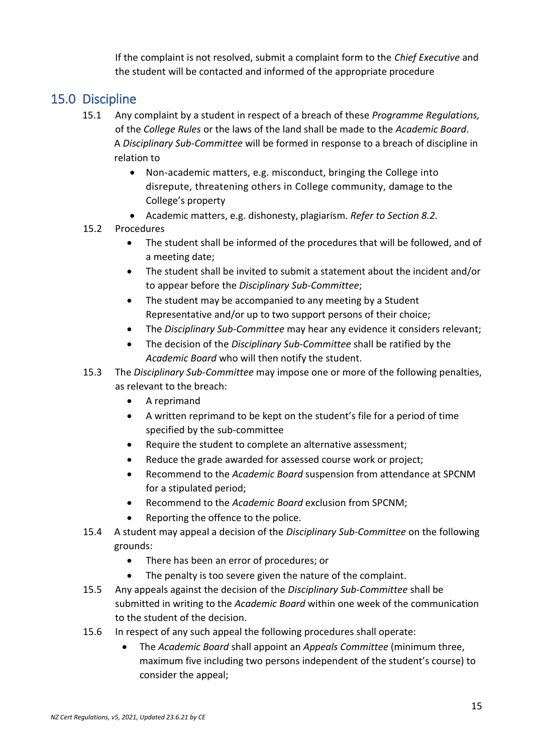If the complaint is not resolved, submit a complaint form to the *Chief Executive* and the student will be contacted and informed of the appropriate procedure

# <span id="page-14-0"></span>15.0 Discipline

- 15.1 Any complaint by a student in respect of a breach of these *Programme Regulations,*  of the *College Rules* or the laws of the land shall be made to the *Academic Board*. A *Disciplinary Sub-Committee* will be formed in response to a breach of discipline in relation to
	- Non-academic matters, e.g. misconduct, bringing the College into disrepute, threatening others in College community, damage to the College's property
	- Academic matters, e.g. dishonesty, plagiarism. *Refer to Section 8.2.*

#### 15.2 Procedures

- The student shall be informed of the procedures that will be followed, and of a meeting date;
- The student shall be invited to submit a statement about the incident and/or to appear before the *Disciplinary Sub-Committee*;
- The student may be accompanied to any meeting by a Student Representative and/or up to two support persons of their choice;
- The *Disciplinary Sub-Committee* may hear any evidence it considers relevant;
- The decision of the *Disciplinary Sub-Committee* shall be ratified by the *Academic Board* who will then notify the student.
- 15.3 The *Disciplinary Sub-Committee* may impose one or more of the following penalties, as relevant to the breach:
	- A reprimand
	- A written reprimand to be kept on the student's file for a period of time specified by the sub-committee
	- Require the student to complete an alternative assessment;
	- Reduce the grade awarded for assessed course work or project;
	- Recommend to the *Academic Board* suspension from attendance at SPCNM for a stipulated period;
	- Recommend to the *Academic Board* exclusion from SPCNM;
	- Reporting the offence to the police.
- 15.4 A student may appeal a decision of the *Disciplinary Sub-Committee* on the following grounds:
	- There has been an error of procedures; or
	- The penalty is too severe given the nature of the complaint.
- 15.5 Any appeals against the decision of the *Disciplinary Sub-Committee* shall be submitted in writing to the *Academic Board* within one week of the communication to the student of the decision.
- 15.6 In respect of any such appeal the following procedures shall operate:
	- The *Academic Board* shall appoint an *Appeals Committee* (minimum three, maximum five including two persons independent of the student's course) to consider the appeal;